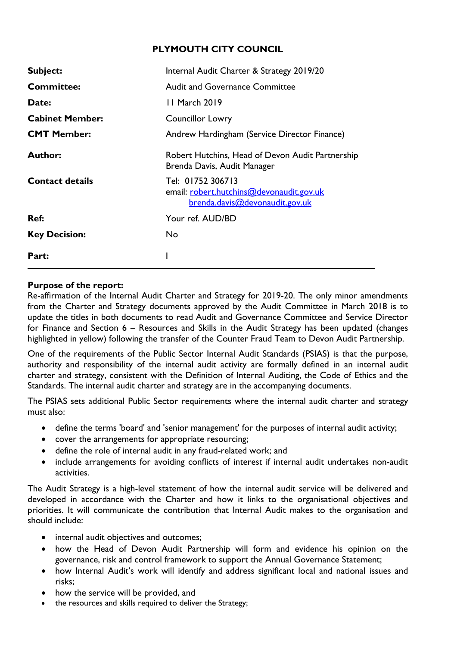## **PLYMOUTH CITY COUNCIL**

| Subject:               | Internal Audit Charter & Strategy 2019/20                                                       |
|------------------------|-------------------------------------------------------------------------------------------------|
| <b>Committee:</b>      | <b>Audit and Governance Committee</b>                                                           |
| Date:                  | 11 March 2019                                                                                   |
| <b>Cabinet Member:</b> | <b>Councillor Lowry</b>                                                                         |
| <b>CMT Member:</b>     | Andrew Hardingham (Service Director Finance)                                                    |
| <b>Author:</b>         | Robert Hutchins, Head of Devon Audit Partnership<br>Brenda Davis, Audit Manager                 |
| <b>Contact details</b> | Tel: 01752 306713<br>email: robert.hutchins@devonaudit.gov.uk<br>brenda.davis@devonaudit.gov.uk |
| Ref:                   | Your ref. AUD/BD                                                                                |
| <b>Key Decision:</b>   | No                                                                                              |
| Part:                  |                                                                                                 |

#### **Purpose of the report:**

Re-affirmation of the Internal Audit Charter and Strategy for 2019-20. The only minor amendments from the Charter and Strategy documents approved by the Audit Committee in March 2018 is to update the titles in both documents to read Audit and Governance Committee and Service Director for Finance and Section 6 – Resources and Skills in the Audit Strategy has been updated (changes highlighted in yellow) following the transfer of the Counter Fraud Team to Devon Audit Partnership.

One of the requirements of the Public Sector Internal Audit Standards (PSIAS) is that the purpose, authority and responsibility of the internal audit activity are formally defined in an internal audit charter and strategy, consistent with the Definition of Internal Auditing, the Code of Ethics and the Standards. The internal audit charter and strategy are in the accompanying documents.

The PSIAS sets additional Public Sector requirements where the internal audit charter and strategy must also:

- define the terms 'board' and 'senior management' for the purposes of internal audit activity;
- cover the arrangements for appropriate resourcing;
- define the role of internal audit in any fraud-related work; and
- include arrangements for avoiding conflicts of interest if internal audit undertakes non-audit activities.

The Audit Strategy is a high-level statement of how the internal audit service will be delivered and developed in accordance with the Charter and how it links to the organisational objectives and priorities. It will communicate the contribution that Internal Audit makes to the organisation and should include:

- internal audit objectives and outcomes;
- how the Head of Devon Audit Partnership will form and evidence his opinion on the governance, risk and control framework to support the Annual Governance Statement;
- how Internal Audit's work will identify and address significant local and national issues and risks;
- how the service will be provided, and
- the resources and skills required to deliver the Strategy;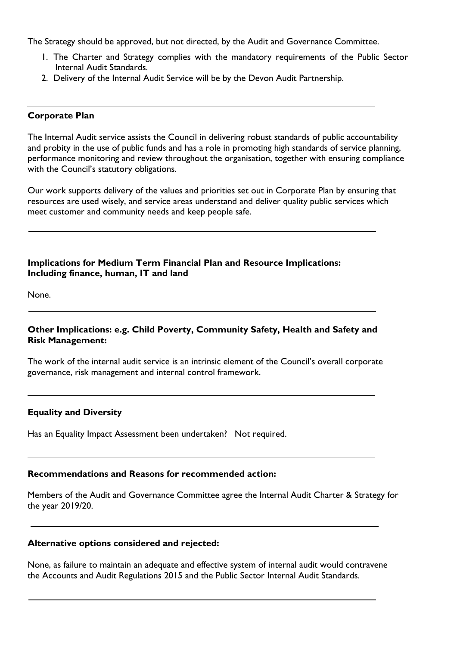The Strategy should be approved, but not directed, by the Audit and Governance Committee.

- 1. The Charter and Strategy complies with the mandatory requirements of the Public Sector Internal Audit Standards.
- 2. Delivery of the Internal Audit Service will be by the Devon Audit Partnership.

#### **Corporate Plan**

The Internal Audit service assists the Council in delivering robust standards of public accountability and probity in the use of public funds and has a role in promoting high standards of service planning, performance monitoring and review throughout the organisation, together with ensuring compliance with the Council's statutory obligations.

Our work supports delivery of the values and priorities set out in Corporate Plan by ensuring that resources are used wisely, and service areas understand and deliver quality public services which meet customer and community needs and keep people safe.

### **Implications for Medium Term Financial Plan and Resource Implications: Including finance, human, IT and land**

None.

#### **Other Implications: e.g. Child Poverty, Community Safety, Health and Safety and Risk Management:**

The work of the internal audit service is an intrinsic element of the Council's overall corporate governance, risk management and internal control framework.

#### **Equality and Diversity**

Has an Equality Impact Assessment been undertaken? Not required.

#### **Recommendations and Reasons for recommended action:**

Members of the Audit and Governance Committee agree the Internal Audit Charter & Strategy for the year 2019/20.

#### **Alternative options considered and rejected:**

None, as failure to maintain an adequate and effective system of internal audit would contravene the Accounts and Audit Regulations 2015 and the Public Sector Internal Audit Standards.